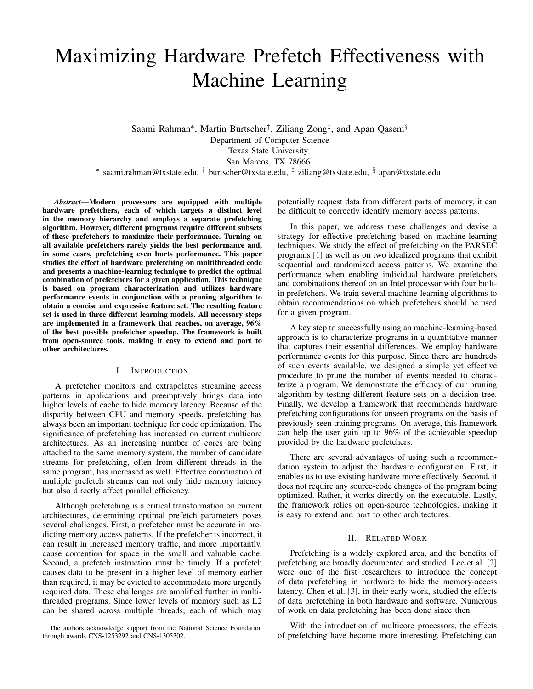# Maximizing Hardware Prefetch Effectiveness with Machine Learning

Saami Rahman\*, Martin Burtscher<sup>†</sup>, Ziliang Zong<sup>‡</sup>, and Apan Qasem<sup>§</sup> Department of Computer Science Texas State University San Marcos, TX 78666 ∗ saami.rahman@txstate.edu, † burtscher@txstate.edu, ‡ ziliang@txstate.edu, § apan@txstate.edu

*Abstract*—Modern processors are equipped with multiple hardware prefetchers, each of which targets a distinct level in the memory hierarchy and employs a separate prefetching algorithm. However, different programs require different subsets of these prefetchers to maximize their performance. Turning on all available prefetchers rarely yields the best performance and, in some cases, prefetching even hurts performance. This paper studies the effect of hardware prefetching on multithreaded code and presents a machine-learning technique to predict the optimal combination of prefetchers for a given application. This technique is based on program characterization and utilizes hardware performance events in conjunction with a pruning algorithm to obtain a concise and expressive feature set. The resulting feature set is used in three different learning models. All necessary steps are implemented in a framework that reaches, on average, 96% of the best possible prefetcher speedup. The framework is built from open-source tools, making it easy to extend and port to other architectures.

## I. INTRODUCTION

A prefetcher monitors and extrapolates streaming access patterns in applications and preemptively brings data into higher levels of cache to hide memory latency. Because of the disparity between CPU and memory speeds, prefetching has always been an important technique for code optimization. The significance of prefetching has increased on current multicore architectures. As an increasing number of cores are being attached to the same memory system, the number of candidate streams for prefetching, often from different threads in the same program, has increased as well. Effective coordination of multiple prefetch streams can not only hide memory latency but also directly affect parallel efficiency.

Although prefetching is a critical transformation on current architectures, determining optimal prefetch parameters poses several challenges. First, a prefetcher must be accurate in predicting memory access patterns. If the prefetcher is incorrect, it can result in increased memory traffic, and more importantly, cause contention for space in the small and valuable cache. Second, a prefetch instruction must be timely. If a prefetch causes data to be present in a higher level of memory earlier than required, it may be evicted to accommodate more urgently required data. These challenges are amplified further in multithreaded programs. Since lower levels of memory such as L2 can be shared across multiple threads, each of which may

potentially request data from different parts of memory, it can be difficult to correctly identify memory access patterns.

In this paper, we address these challenges and devise a strategy for effective prefetching based on machine-learning techniques. We study the effect of prefetching on the PARSEC programs [1] as well as on two idealized programs that exhibit sequential and randomized access patterns. We examine the performance when enabling individual hardware prefetchers and combinations thereof on an Intel processor with four builtin prefetchers. We train several machine-learning algorithms to obtain recommendations on which prefetchers should be used for a given program.

A key step to successfully using an machine-learning-based approach is to characterize programs in a quantitative manner that captures their essential differences. We employ hardware performance events for this purpose. Since there are hundreds of such events available, we designed a simple yet effective procedure to prune the number of events needed to characterize a program. We demonstrate the efficacy of our pruning algorithm by testing different feature sets on a decision tree. Finally, we develop a framework that recommends hardware prefetching configurations for unseen programs on the basis of previously seen training programs. On average, this framework can help the user gain up to 96% of the achievable speedup provided by the hardware prefetchers.

There are several advantages of using such a recommendation system to adjust the hardware configuration. First, it enables us to use existing hardware more effectively. Second, it does not require any source-code changes of the program being optimized. Rather, it works directly on the executable. Lastly, the framework relies on open-source technologies, making it is easy to extend and port to other architectures.

# II. RELATED WORK

Prefetching is a widely explored area, and the benefits of prefetching are broadly documented and studied. Lee et al. [2] were one of the first researchers to introduce the concept of data prefetching in hardware to hide the memory-access latency. Chen et al. [3], in their early work, studied the effects of data prefetching in both hardware and software. Numerous of work on data prefetching has been done since then.

With the introduction of multicore processors, the effects of prefetching have become more interesting. Prefetching can

The authors acknowledge support from the National Science Foundation through awards CNS-1253292 and CNS-1305302.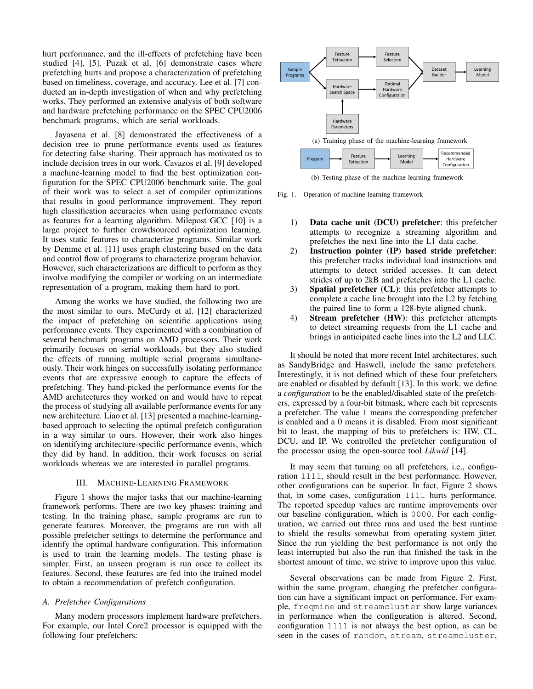hurt performance, and the ill-effects of prefetching have been studied [4], [5]. Puzak et al. [6] demonstrate cases where prefetching hurts and propose a characterization of prefetching based on timeliness, coverage, and accuracy. Lee et al. [7] conducted an in-depth investigation of when and why prefetching works. They performed an extensive analysis of both software and hardware prefetching performance on the SPEC CPU2006 benchmark programs, which are serial workloads.

Jayasena et al. [8] demonstrated the effectiveness of a decision tree to prune performance events used as features for detecting false sharing. Their approach has motivated us to include decision trees in our work. Cavazos et al. [9] developed a machine-learning model to find the best optimization configuration for the SPEC CPU2006 benchmark suite. The goal of their work was to select a set of compiler optimizations that results in good performance improvement. They report high classification accuracies when using performance events as features for a learning algorithm. Milepost GCC [10] is a large project to further crowdsourced optimization learning. It uses static features to characterize programs. Similar work by Demme et al. [11] uses graph clustering based on the data and control flow of programs to characterize program behavior. However, such characterizations are difficult to perform as they involve modifying the compiler or working on an intermediate representation of a program, making them hard to port.

Among the works we have studied, the following two are the most similar to ours. McCurdy et al. [12] characterized the impact of prefetching on scientific applications using performance events. They experimented with a combination of several benchmark programs on AMD processors. Their work primarily focuses on serial workloads, but they also studied the effects of running multiple serial programs simultaneously. Their work hinges on successfully isolating performance events that are expressive enough to capture the effects of prefetching. They hand-picked the performance events for the AMD architectures they worked on and would have to repeat the process of studying all available performance events for any new architecture. Liao et al. [13] presented a machine-learningbased approach to selecting the optimal prefetch configuration in a way similar to ours. However, their work also hinges on identifying architecture-specific performance events, which they did by hand. In addition, their work focuses on serial workloads whereas we are interested in parallel programs.

## III. MACHINE-LEARNING FRAMEWORK

Figure 1 shows the major tasks that our machine-learning framework performs. There are two key phases: training and testing. In the training phase, sample programs are run to generate features. Moreover, the programs are run with all possible prefetcher settings to determine the performance and identify the optimal hardware configuration. This information is used to train the learning models. The testing phase is simpler. First, an unseen program is run once to collect its features. Second, these features are fed into the trained model to obtain a recommendation of prefetch configuration.

# *A. Prefetcher Configurations*

Many modern processors implement hardware prefetchers. For example, our Intel Core2 processor is equipped with the following four prefetchers:



(b) Testing phase of the machine-learning framework

Fig. 1. Operation of machine-learning framework

- 1) Data cache unit (DCU) prefetcher: this prefetcher attempts to recognize a streaming algorithm and prefetches the next line into the L1 data cache.
- 2) Instruction pointer (IP) based stride prefetcher: this prefetcher tracks individual load instructions and attempts to detect strided accesses. It can detect strides of up to 2kB and prefetches into the L1 cache.
- 3) Spatial prefetcher (CL): this prefetcher attempts to complete a cache line brought into the L2 by fetching the paired line to form a 128-byte aligned chunk.
- 4) Stream prefetcher (HW): this prefetcher attempts to detect streaming requests from the L1 cache and brings in anticipated cache lines into the L2 and LLC.

It should be noted that more recent Intel architectures, such as SandyBridge and Haswell, include the same prefetchers. Interestingly, it is not defined which of these four prefetchers are enabled or disabled by default [13]. In this work, we define a *configuration* to be the enabled/disabled state of the prefetchers, expressed by a four-bit bitmask, where each bit represents a prefetcher. The value 1 means the corresponding prefetcher is enabled and a 0 means it is disabled. From most significant bit to least, the mapping of bits to prefetchers is: HW, CL, DCU, and IP. We controlled the prefetcher configuration of the processor using the open-source tool *Likwid* [14].

It may seem that turning on all prefetchers, i.e., configuration 1111, should result in the best performance. However, other configurations can be superior. In fact, Figure 2 shows that, in some cases, configuration 1111 hurts performance. The reported speedup values are runtime improvements over our baseline configuration, which is 0000. For each configuration, we carried out three runs and used the best runtime to shield the results somewhat from operating system jitter. Since the run yielding the best performance is not only the least interrupted but also the run that finished the task in the shortest amount of time, we strive to improve upon this value.

Several observations can be made from Figure 2. First, within the same program, changing the prefetcher configuration can have a significant impact on performance. For example, freqmine and streamcluster show large variances in performance when the configuration is altered. Second, configuration 1111 is not always the best option, as can be seen in the cases of random, stream, streamcluster,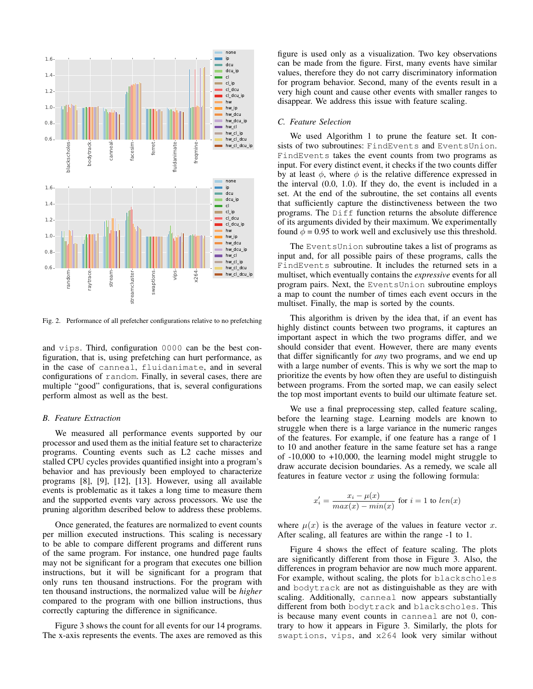

Fig. 2. Performance of all prefetcher configurations relative to no prefetching

and vips. Third, configuration 0000 can be the best configuration, that is, using prefetching can hurt performance, as in the case of canneal, fluidanimate, and in several configurations of random. Finally, in several cases, there are multiple "good" configurations, that is, several configurations perform almost as well as the best.

## *B. Feature Extraction*

We measured all performance events supported by our processor and used them as the initial feature set to characterize programs. Counting events such as L2 cache misses and stalled CPU cycles provides quantified insight into a program's behavior and has previously been employed to characterize programs [8], [9], [12], [13]. However, using all available events is problematic as it takes a long time to measure them and the supported events vary across processors. We use the pruning algorithm described below to address these problems.

Once generated, the features are normalized to event counts per million executed instructions. This scaling is necessary to be able to compare different programs and different runs of the same program. For instance, one hundred page faults may not be significant for a program that executes one billion instructions, but it will be significant for a program that only runs ten thousand instructions. For the program with ten thousand instructions, the normalized value will be *higher* compared to the program with one billion instructions, thus correctly capturing the difference in significance.

Figure 3 shows the count for all events for our 14 programs. The x-axis represents the events. The axes are removed as this

figure is used only as a visualization. Two key observations can be made from the figure. First, many events have similar values, therefore they do not carry discriminatory information for program behavior. Second, many of the events result in a very high count and cause other events with smaller ranges to disappear. We address this issue with feature scaling.

### *C. Feature Selection*

We used Algorithm 1 to prune the feature set. It consists of two subroutines: FindEvents and EventsUnion. FindEvents takes the event counts from two programs as input. For every distinct event, it checks if the two counts differ by at least  $\phi$ , where  $\phi$  is the relative difference expressed in the interval (0.0, 1.0). If they do, the event is included in a set. At the end of the subroutine, the set contains all events that sufficiently capture the distinctiveness between the two programs. The Diff function returns the absolute difference of its arguments divided by their maximum. We experimentally found  $\phi = 0.95$  to work well and exclusively use this threshold.

The EventsUnion subroutine takes a list of programs as input and, for all possible pairs of these programs, calls the FindEvents subroutine. It includes the returned sets in a multiset, which eventually contains the *expressive* events for all program pairs. Next, the EventsUnion subroutine employs a map to count the number of times each event occurs in the multiset. Finally, the map is sorted by the counts.

This algorithm is driven by the idea that, if an event has highly distinct counts between two programs, it captures an important aspect in which the two programs differ, and we should consider that event. However, there are many events that differ significantly for *any* two programs, and we end up with a large number of events. This is why we sort the map to prioritize the events by how often they are useful to distinguish between programs. From the sorted map, we can easily select the top most important events to build our ultimate feature set.

We use a final preprocessing step, called feature scaling, before the learning stage. Learning models are known to struggle when there is a large variance in the numeric ranges of the features. For example, if one feature has a range of 1 to 10 and another feature in the same feature set has a range of  $-10,000$  to  $+10,000$ , the learning model might struggle to draw accurate decision boundaries. As a remedy, we scale all features in feature vector  $x$  using the following formula:

$$
x'_{i} = \frac{x_{i} - \mu(x)}{max(x) - min(x)}
$$
 for  $i = 1$  to  $len(x)$ 

where  $\mu(x)$  is the average of the values in feature vector x. After scaling, all features are within the range -1 to 1.

Figure 4 shows the effect of feature scaling. The plots are significantly different from those in Figure 3. Also, the differences in program behavior are now much more apparent. For example, without scaling, the plots for blackscholes and bodytrack are not as distinguishable as they are with scaling. Additionally, canneal now appears substantially different from both bodytrack and blackscholes. This is because many event counts in canneal are not 0, contrary to how it appears in Figure 3. Similarly, the plots for swaptions, vips, and x264 look very similar without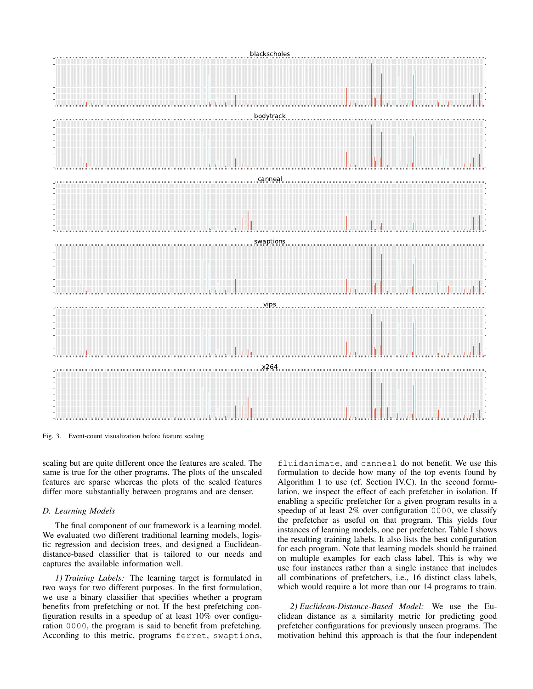

Fig. 3. Event-count visualization before feature scaling

scaling but are quite different once the features are scaled. The same is true for the other programs. The plots of the unscaled features are sparse whereas the plots of the scaled features differ more substantially between programs and are denser.

## *D. Learning Models*

The final component of our framework is a learning model. We evaluated two different traditional learning models, logistic regression and decision trees, and designed a Euclideandistance-based classifier that is tailored to our needs and captures the available information well.

*1) Training Labels:* The learning target is formulated in two ways for two different purposes. In the first formulation, we use a binary classifier that specifies whether a program benefits from prefetching or not. If the best prefetching configuration results in a speedup of at least 10% over configuration 0000, the program is said to benefit from prefetching. According to this metric, programs ferret, swaptions, fluidanimate, and canneal do not benefit. We use this formulation to decide how many of the top events found by Algorithm 1 to use (cf. Section IV.C). In the second formulation, we inspect the effect of each prefetcher in isolation. If enabling a specific prefetcher for a given program results in a speedup of at least 2% over configuration 0000, we classify the prefetcher as useful on that program. This yields four instances of learning models, one per prefetcher. Table I shows the resulting training labels. It also lists the best configuration for each program. Note that learning models should be trained on multiple examples for each class label. This is why we use four instances rather than a single instance that includes all combinations of prefetchers, i.e., 16 distinct class labels, which would require a lot more than our 14 programs to train.

*2) Euclidean-Distance-Based Model:* We use the Euclidean distance as a similarity metric for predicting good prefetcher configurations for previously unseen programs. The motivation behind this approach is that the four independent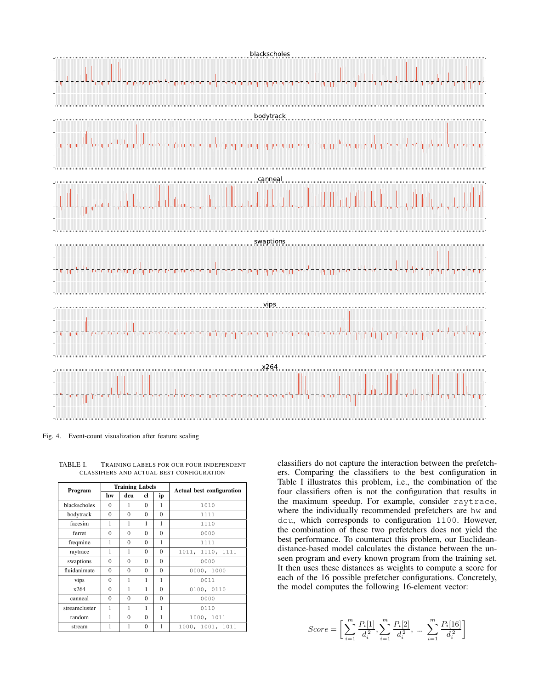

Fig. 4. Event-count visualization after feature scaling

| Program       | <b>Training Labels</b> |              |          |          | <b>Actual best configuration</b>                                                             |  |
|---------------|------------------------|--------------|----------|----------|----------------------------------------------------------------------------------------------|--|
|               | hw                     | dcu          | cl       | ip       |                                                                                              |  |
| blackscholes  | $\Omega$               | 1            | $\Omega$ | 1        | 1010                                                                                         |  |
| bodytrack     | $\Omega$               | $\mathbf{0}$ | $\Omega$ | $\Omega$ | 1111<br>1110<br>0000<br>1111<br>1011, 1110, 1111<br>0000<br>0000, 1000<br>0011<br>0100, 0110 |  |
| facesim       | 1                      | 1            | 1        | 1        |                                                                                              |  |
| ferret        | $\Omega$               | $\Omega$     | $\Omega$ | $\Omega$ |                                                                                              |  |
| freqmine      | $\mathbf{1}$           | $\mathbf{0}$ | $\Omega$ | 1        |                                                                                              |  |
| raytrace      | 1                      | 1            | $\Omega$ | $\Omega$ |                                                                                              |  |
| swaptions     | $\theta$               | $\theta$     | $\Omega$ | $\Omega$ |                                                                                              |  |
| fluidanimate  | $\Omega$               | $\mathbf{0}$ | $\Omega$ | $\Omega$ |                                                                                              |  |
| vips          | $\Omega$               | 1            | 1        | 1        |                                                                                              |  |
| x264          | $\Omega$               | 1            | 1        | $\Omega$ |                                                                                              |  |
| canneal       | $\Omega$               | $\mathbf{0}$ | $\Omega$ | $\Omega$ | 0000                                                                                         |  |
| streamcluster | 1                      | 1            | 1        | 1        | 0110                                                                                         |  |
| random        | 1                      | $\Omega$     | $\Omega$ | 1        | 1000, 1011                                                                                   |  |
| stream        | 1                      | 1            | $\Omega$ | 1        | 1000, 1001, 1011                                                                             |  |

TABLE I. TRAINING LABELS FOR OUR FOUR INDEPENDENT CLASSIFIERS AND ACTUAL BEST CONFIGURATION

classifiers do not capture the interaction between the prefetchers. Comparing the classifiers to the best configuration in Table I illustrates this problem, i.e., the combination of the four classifiers often is not the configuration that results in the maximum speedup. For example, consider raytrace, where the individually recommended prefetchers are hw and dcu, which corresponds to configuration 1100. However, the combination of these two prefetchers does not yield the best performance. To counteract this problem, our Euclideandistance-based model calculates the distance between the unseen program and every known program from the training set. It then uses these distances as weights to compute a score for each of the 16 possible prefetcher configurations. Concretely, the model computes the following 16-element vector:

$$
Score = \left[ \sum_{i=1}^{m} \frac{P_i[1]}{d_i^2}, \sum_{i=1}^{m} \frac{P_i[2]}{d_i^2}, \dots \sum_{i=1}^{m} \frac{P_i[16]}{d_i^2} \right]
$$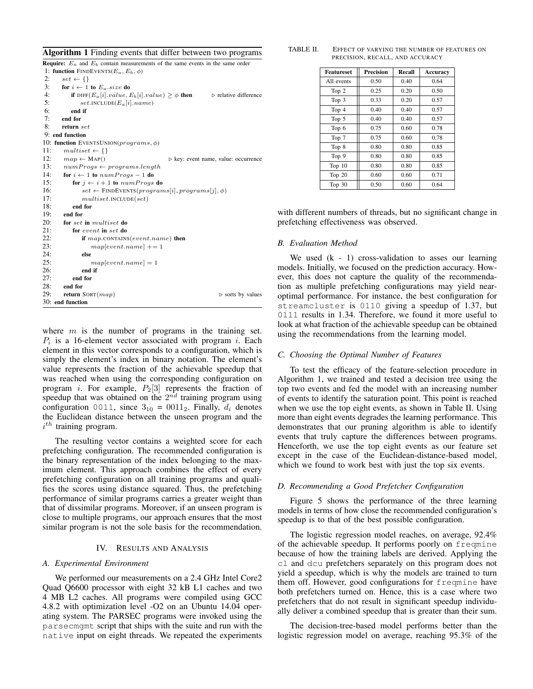Algorithm 1 Finding events that differ between two programs

**Require:**  $E_a$  and  $E_b$  contain measurements of the same events in the same order

| 2:<br>$set \leftarrow \{\}$<br>3:<br>for $i \leftarrow 1$ to $E_a.size$ do<br>4:<br>if DIFF $(E_a[i].value, E_b[i].value) \geq \phi$ then<br>$\triangleright$ relative difference<br>5:<br>$set$ .INCLUDE $(E_a[i].name)$<br>6:<br>end if<br>7:<br>end for<br>8:<br>return set<br>9: end function<br>10: function EVENTSUNION( $programs, \phi$ )<br>$multiset \leftarrow \{\}$<br>$map \leftarrow \text{MAP}()$<br>$\triangleright$ key: event name, value: occurrence<br>$numProgs \leftarrow programs.length$<br>for $i \leftarrow 1$ to $numProgs - 1$ do<br>for $j \leftarrow i + 1$ to numProgs do<br>$set \leftarrow$ FINDEVENTS(programs[i], programs[j], $\phi$ )<br>$multiset$ .INCLUDE $(set)$<br>end for<br>end for<br>for set in multiset do<br>for event in set do<br>if map.CONTAINS(event.name) then<br>$map[event.name] += 1$<br>else<br>$map[event.name] = 1$ |     | 1: function FINDEVENTS( $E_a$ , $E_b$ , $\phi$ ) |
|---------------------------------------------------------------------------------------------------------------------------------------------------------------------------------------------------------------------------------------------------------------------------------------------------------------------------------------------------------------------------------------------------------------------------------------------------------------------------------------------------------------------------------------------------------------------------------------------------------------------------------------------------------------------------------------------------------------------------------------------------------------------------------------------------------------------------------------------------------------------------------|-----|--------------------------------------------------|
|                                                                                                                                                                                                                                                                                                                                                                                                                                                                                                                                                                                                                                                                                                                                                                                                                                                                                 |     |                                                  |
|                                                                                                                                                                                                                                                                                                                                                                                                                                                                                                                                                                                                                                                                                                                                                                                                                                                                                 |     |                                                  |
|                                                                                                                                                                                                                                                                                                                                                                                                                                                                                                                                                                                                                                                                                                                                                                                                                                                                                 |     |                                                  |
|                                                                                                                                                                                                                                                                                                                                                                                                                                                                                                                                                                                                                                                                                                                                                                                                                                                                                 |     |                                                  |
|                                                                                                                                                                                                                                                                                                                                                                                                                                                                                                                                                                                                                                                                                                                                                                                                                                                                                 |     |                                                  |
|                                                                                                                                                                                                                                                                                                                                                                                                                                                                                                                                                                                                                                                                                                                                                                                                                                                                                 |     |                                                  |
|                                                                                                                                                                                                                                                                                                                                                                                                                                                                                                                                                                                                                                                                                                                                                                                                                                                                                 |     |                                                  |
|                                                                                                                                                                                                                                                                                                                                                                                                                                                                                                                                                                                                                                                                                                                                                                                                                                                                                 |     |                                                  |
|                                                                                                                                                                                                                                                                                                                                                                                                                                                                                                                                                                                                                                                                                                                                                                                                                                                                                 |     |                                                  |
|                                                                                                                                                                                                                                                                                                                                                                                                                                                                                                                                                                                                                                                                                                                                                                                                                                                                                 | 11: |                                                  |
|                                                                                                                                                                                                                                                                                                                                                                                                                                                                                                                                                                                                                                                                                                                                                                                                                                                                                 | 12: |                                                  |
|                                                                                                                                                                                                                                                                                                                                                                                                                                                                                                                                                                                                                                                                                                                                                                                                                                                                                 | 13: |                                                  |
|                                                                                                                                                                                                                                                                                                                                                                                                                                                                                                                                                                                                                                                                                                                                                                                                                                                                                 | 14: |                                                  |
|                                                                                                                                                                                                                                                                                                                                                                                                                                                                                                                                                                                                                                                                                                                                                                                                                                                                                 | 15: |                                                  |
|                                                                                                                                                                                                                                                                                                                                                                                                                                                                                                                                                                                                                                                                                                                                                                                                                                                                                 | 16: |                                                  |
|                                                                                                                                                                                                                                                                                                                                                                                                                                                                                                                                                                                                                                                                                                                                                                                                                                                                                 | 17: |                                                  |
|                                                                                                                                                                                                                                                                                                                                                                                                                                                                                                                                                                                                                                                                                                                                                                                                                                                                                 | 18: |                                                  |
|                                                                                                                                                                                                                                                                                                                                                                                                                                                                                                                                                                                                                                                                                                                                                                                                                                                                                 | 19: |                                                  |
|                                                                                                                                                                                                                                                                                                                                                                                                                                                                                                                                                                                                                                                                                                                                                                                                                                                                                 | 20: |                                                  |
|                                                                                                                                                                                                                                                                                                                                                                                                                                                                                                                                                                                                                                                                                                                                                                                                                                                                                 | 21: |                                                  |
|                                                                                                                                                                                                                                                                                                                                                                                                                                                                                                                                                                                                                                                                                                                                                                                                                                                                                 | 22: |                                                  |
|                                                                                                                                                                                                                                                                                                                                                                                                                                                                                                                                                                                                                                                                                                                                                                                                                                                                                 | 23: |                                                  |
|                                                                                                                                                                                                                                                                                                                                                                                                                                                                                                                                                                                                                                                                                                                                                                                                                                                                                 | 24: |                                                  |
|                                                                                                                                                                                                                                                                                                                                                                                                                                                                                                                                                                                                                                                                                                                                                                                                                                                                                 | 25: |                                                  |
|                                                                                                                                                                                                                                                                                                                                                                                                                                                                                                                                                                                                                                                                                                                                                                                                                                                                                 | 26: | end if                                           |
| end for                                                                                                                                                                                                                                                                                                                                                                                                                                                                                                                                                                                                                                                                                                                                                                                                                                                                         | 27: |                                                  |
| end for                                                                                                                                                                                                                                                                                                                                                                                                                                                                                                                                                                                                                                                                                                                                                                                                                                                                         | 28: |                                                  |
| return $SORT(map)$<br>$\triangleright$ sorts by values                                                                                                                                                                                                                                                                                                                                                                                                                                                                                                                                                                                                                                                                                                                                                                                                                          | 29: |                                                  |
| 30: end function                                                                                                                                                                                                                                                                                                                                                                                                                                                                                                                                                                                                                                                                                                                                                                                                                                                                |     |                                                  |

where  $m$  is the number of programs in the training set.  $P_i$  is a 16-element vector associated with program i. Each element in this vector corresponds to a configuration, which is simply the element's index in binary notation. The element's value represents the fraction of the achievable speedup that was reached when using the corresponding configuration on program *i*. For example,  $P_2[3]$  represents the fraction of speedup that was obtained on the  $2^{nd}$  training program using configuration 0011, since  $3_{10} = 0011_2$ . Finally,  $d_i$  denotes the Euclidean distance between the unseen program and the  $i^{th}$  training program.

The resulting vector contains a weighted score for each prefetching configuration. The recommended configuration is the binary representation of the index belonging to the maximum element. This approach combines the effect of every prefetching configuration on all training programs and qualifies the scores using distance squared. Thus, the prefetching performance of similar programs carries a greater weight than that of dissimilar programs. Moreover, if an unseen program is close to multiple programs, our approach ensures that the most similar program is not the sole basis for the recommendation.

#### IV. RESULTS AND ANALYSIS

#### *A. Experimental Environment*

We performed our measurements on a 2.4 GHz Intel Core2 Quad Q6600 processor with eight 32 kB L1 caches and two 4 MB L2 caches. All programs were compiled using GCC 4.8.2 with optimization level -O2 on an Ubuntu 14.04 operating system. The PARSEC programs were invoked using the parsecmgmt script that ships with the suite and run with the native input on eight threads. We repeated the experiments

TABLE II. EFFECT OF VARYING THE NUMBER OF FEATURES ON PRECISION, RECALL, AND ACCURACY

| <b>Featureset</b> | <b>Precision</b> | Recall | Accuracy |
|-------------------|------------------|--------|----------|
| All events        | 0.50             | 0.40   | 0.64     |
| Top 2             | 0.25             | 0.20   | 0.50     |
| Top 3             | 0.33             | 0.20   | 0.57     |
| Top 4             | 0.40             | 0.40   | 0.57     |
| Top 5             | 0.40             | 0.40   | 0.57     |
| Top 6             | 0.75             | 0.60   | 0.78     |
| Top 7             | 0.75             | 0.60   | 0.78     |
| Top 8             | 0.80             | 0.80   | 0.85     |
| Top 9             | 0.80             | 0.80   | 0.85     |
| Top $10$          | 0.80             | 0.80   | 0.85     |
| Top 20            | 0.60             | 0.60   | 0.71     |
| Top 30            | 0.50             | 0.60   | 0.64     |

with different numbers of threads, but no significant change in prefetching effectiveness was observed.

#### *B. Evaluation Method*

We used  $(k - 1)$  cross-validation to asses our learning models. Initially, we focused on the prediction accuracy. However, this does not capture the quality of the recommendation as multiple prefetching configurations may yield nearoptimal performance. For instance, the best configuration for streamcluster is 0110 giving a speedup of 1.37, but 0111 results in 1.34. Therefore, we found it more useful to look at what fraction of the achievable speedup can be obtained using the recommendations from the learning model.

#### *C. Choosing the Optimal Number of Features*

To test the efficacy of the feature-selection procedure in Algorithm 1, we trained and tested a decision tree using the top two events and fed the model with an increasing number of events to identify the saturation point. This point is reached when we use the top eight events, as shown in Table II. Using more than eight events degrades the learning performance. This demonstrates that our pruning algorithm is able to identify events that truly capture the differences between programs. Henceforth, we use the top eight events as our feature set except in the case of the Euclidean-distance-based model, which we found to work best with just the top six events.

#### *D. Recommending a Good Prefetcher Configuration*

Figure 5 shows the performance of the three learning models in terms of how close the recommended configuration's speedup is to that of the best possible configuration.

The logistic regression model reaches, on average, 92.4% of the achievable speedup. It performs poorly on freqmine because of how the training labels are derived. Applying the cl and dcu prefetchers separately on this program does not yield a speedup, which is why the models are trained to turn them off. However, good configurations for freqmine have both prefetchers turned on. Hence, this is a case where two prefetchers that do not result in significant speedup individually deliver a combined speedup that is greater than their sum.

The decision-tree-based model performs better than the logistic regression model on average, reaching 95.3% of the